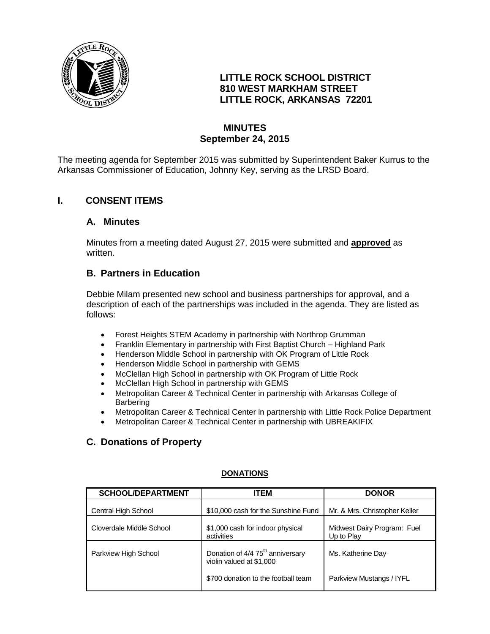

### **LITTLE ROCK SCHOOL DISTRICT 810 WEST MARKHAM STREET LITTLE ROCK, ARKANSAS 72201**

### **MINUTES September 24, 2015**

The meeting agenda for September 2015 was submitted by Superintendent Baker Kurrus to the Arkansas Commissioner of Education, Johnny Key, serving as the LRSD Board.

### **I. CONSENT ITEMS**

### **A. Minutes**

Minutes from a meeting dated August 27, 2015 were submitted and **approved** as written.

### **B. Partners in Education**

Debbie Milam presented new school and business partnerships for approval, and a description of each of the partnerships was included in the agenda. They are listed as follows:

- Forest Heights STEM Academy in partnership with Northrop Grumman
- Franklin Elementary in partnership with First Baptist Church Highland Park
- Henderson Middle School in partnership with OK Program of Little Rock
- Henderson Middle School in partnership with GEMS
- McClellan High School in partnership with OK Program of Little Rock
- McClellan High School in partnership with GEMS
- Metropolitan Career & Technical Center in partnership with Arkansas College of **Barbering**
- Metropolitan Career & Technical Center in partnership with Little Rock Police Department
- Metropolitan Career & Technical Center in partnership with UBREAKIFIX

# **C. Donations of Property**

| <b>SCHOOL/DEPARTMENT</b> | <b>ITEM</b>                                                              | <b>DONOR</b>                              |
|--------------------------|--------------------------------------------------------------------------|-------------------------------------------|
| Central High School      | \$10,000 cash for the Sunshine Fund                                      | Mr. & Mrs. Christopher Keller             |
| Cloverdale Middle School | \$1,000 cash for indoor physical<br>activities                           | Midwest Dairy Program: Fuel<br>Up to Play |
| Parkview High School     | Donation of 4/4 75 <sup>th</sup> anniversary<br>violin valued at \$1,000 | Ms. Katherine Day                         |
|                          | \$700 donation to the football team                                      | Parkview Mustangs / IYFL                  |

### **DONATIONS**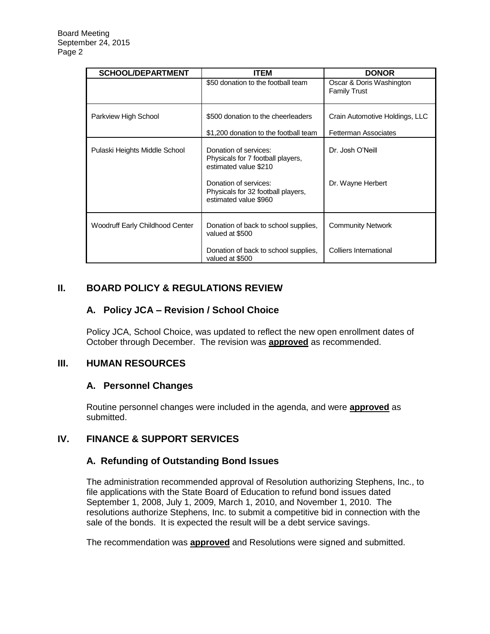| <b>SCHOOL/DEPARTMENT</b>        | <b>ITEM</b>                                                                                                                                                                 | <b>DONOR</b>                                    |
|---------------------------------|-----------------------------------------------------------------------------------------------------------------------------------------------------------------------------|-------------------------------------------------|
|                                 | \$50 donation to the football team                                                                                                                                          | Oscar & Doris Washington<br><b>Family Trust</b> |
| Parkview High School            | \$500 donation to the cheerleaders                                                                                                                                          | Crain Automotive Holdings, LLC                  |
|                                 | \$1,200 donation to the football team                                                                                                                                       | <b>Fetterman Associates</b>                     |
| Pulaski Heights Middle School   | Donation of services:<br>Physicals for 7 football players,<br>estimated value \$210<br>Donation of services:<br>Physicals for 32 football players,<br>estimated value \$960 | Dr. Josh O'Neill<br>Dr. Wayne Herbert           |
| Woodruff Early Childhood Center | Donation of back to school supplies,<br>valued at \$500                                                                                                                     | <b>Community Network</b>                        |
|                                 | Donation of back to school supplies,<br>valued at \$500                                                                                                                     | Colliers International                          |

# **II. BOARD POLICY & REGULATIONS REVIEW**

# **A. Policy JCA – Revision / School Choice**

Policy JCA, School Choice, was updated to reflect the new open enrollment dates of October through December. The revision was **approved** as recommended.

### **III. HUMAN RESOURCES**

### **A. Personnel Changes**

Routine personnel changes were included in the agenda, and were **approved** as submitted.

# **IV. FINANCE & SUPPORT SERVICES**

### **A. Refunding of Outstanding Bond Issues**

The administration recommended approval of Resolution authorizing Stephens, Inc., to file applications with the State Board of Education to refund bond issues dated September 1, 2008, July 1, 2009, March 1, 2010, and November 1, 2010. The resolutions authorize Stephens, Inc. to submit a competitive bid in connection with the sale of the bonds. It is expected the result will be a debt service savings.

The recommendation was **approved** and Resolutions were signed and submitted.